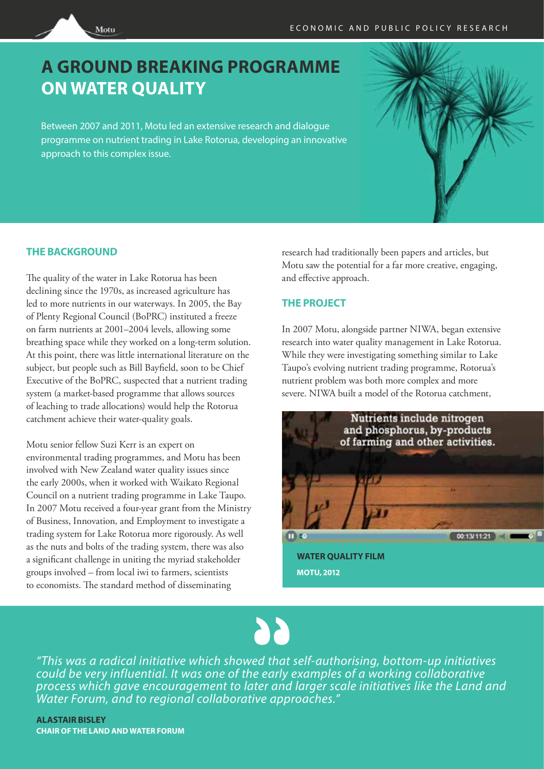## **A GROUND BREAKING PROGRAMME ON WATER QUALITY**

Between 2007 and 2011, Motu led an extensive research and dialogue programme on nutrient trading in Lake Rotorua, developing an innovative approach to this complex issue.

## **THE BACKGROUND**

Motu

The quality of the water in Lake Rotorua has been declining since the 1970s, as increased agriculture has led to more nutrients in our waterways. In 2005, the Bay of Plenty Regional Council (BoPRC) instituted a freeze on farm nutrients at 2001–2004 levels, allowing some breathing space while they worked on a long-term solution. At this point, there was little international literature on the subject, but people such as Bill Bayfield, soon to be Chief Executive of the BoPRC, suspected that a nutrient trading system (a market-based programme that allows sources of leaching to trade allocations) would help the Rotorua catchment achieve their water-quality goals.

Motu senior fellow Suzi Kerr is an expert on environmental trading programmes, and Motu has been involved with New Zealand water quality issues since the early 2000s, when it worked with Waikato Regional Council on a nutrient trading programme in Lake Taupo. In 2007 Motu received a four-year grant from the Ministry of Business, Innovation, and Employment to investigate a trading system for Lake Rotorua more rigorously. As well as the nuts and bolts of the trading system, there was also a significant challenge in uniting the myriad stakeholder groups involved – from local iwi to farmers, scientists to economists. The standard method of disseminating

research had traditionally been papers and articles, but Motu saw the potential for a far more creative, engaging, and effective approach.

## **THE PROJECT**

In 2007 Motu, alongside partner NIWA, began extensive research into water quality management in Lake Rotorua. While they were investigating something similar to Lake Taupo's evolving nutrient trading programme, Rotorua's nutrient problem was both more complex and more severe. NIWA built a model of the Rotorua catchment,



**WATER QUALITY FILM MOTU, 2012**



 *process which gave encouragement to later and larger scale initiatives like the Land and "This was a radical initiative which showed that self-authorising, bottom-up initiatives could be very influential. It was one of the early examples of a working collaborative Water Forum, and to regional collaborative approaches."* 

**ALASTAIR BISLEY CHAIR OF THE LAND AND WATER FORUM**